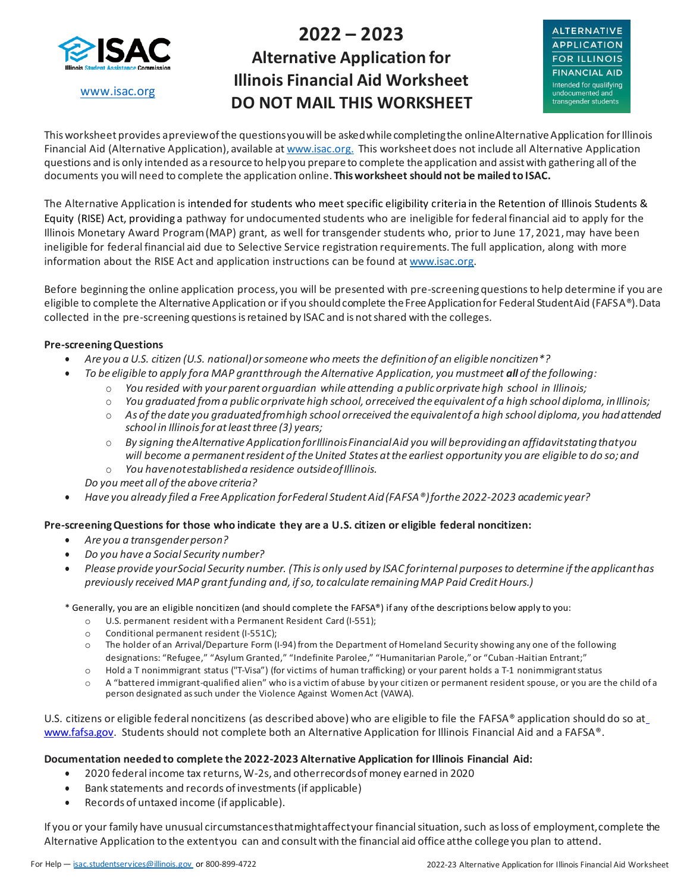

[www.isac.org](http://www.isac.org/)

# **2022 – 2023 Alternative Application for Illinois Financial Aid Worksheet DO NOT MAIL THIS WORKSHEET**



This worksheet provides apreview of the questions you will be asked while completing the online Alternative Application for Illinois Financial Aid (Alternative Application), available a[t www.isac.org.](http://www.isac.org/) This worksheet does not include all Alternative Application questions and is only intended as a resource to helpyou prepare to complete theapplication and assistwith gathering all ofthe documents you will need to complete the application online. **Thisworksheet should not be mailed to ISAC.**

The Alternative Application is intended for students who meet specific eligibility criteria in the Retention of Illinois Students & Equity (RISE) Act, providing a pathway for undocumented students who are ineligible for federal financial aid to apply for the Illinois Monetary Award Program (MAP) grant, as well for transgender students who, prior to June 17, 2021, may have been ineligible for federal financial aid due to Selective Service registration requirements. The full application, along with more information about the RISE Act and application instructions can be found at [www.isac.org.](http://www.isac.org/)

Before beginning the online application process, you will be presented with pre-screening questions to help determine if you are eligible to complete the Alternative Application or if you should complete the Free Application for Federal StudentAid (FAFSA®). Data collected in the pre-screening questionsisretained by ISAC and is notshared with the colleges.

## **Pre-screening Questions**

- *Are you a U.S. citizen (U.S. national)orsomeone who meets the definitionof an eligible noncitizen\*?*
- *To be eligible to apply fora MAP grantthrough theAlternative Application, you mustmeet all ofthe following:*
	- o *You resided with yourparent orguardian while attending a public orprivate high school in Illinois;*
	- $\circ$  You graduated from a public orprivate high school, orreceived the equivalent of a high school diploma, in Illinois;
	- o *As ofthe date you graduatedfromhigh school orreceived the equivalentof a high school diploma, you hadattended school in Illinoisforatleastthree (3) years;*
	- o *By signing theAlternative ApplicationforIllinoisFinancialAid you will beprovidingan affidavitstatingthatyou will become a permanentresident oftheUnited States atthe earliest opportunity you are eligible to do so;and*
	- o *You havenotestablisheda residence outsideofIllinois.*
	- *Do you meet all ofthe above criteria?*
- *Have you already filed a FreeApplication forFederal StudentAid(FAFSA®)forthe 2022-2023 academic year?*

### **Pre-screening Questions for those who indicate they are a U.S. citizen or eligible federal noncitizen:**

- *Are you a transgender person?*
- *Do you have a Social Security number?*
- Please provide your Social Security number. (This is only used by ISAC for internal purposes to determine if the applicant has *previously received MAP grantfunding and, ifso,tocalculate remainingMAP Paid CreditHours.)*

\* Generally, you are an eligible noncitizen (and should complete the FAFSA®) if any ofthe descriptions below apply to you:

- o U.S. permanent resident witha Permanent Resident Card (I-551);
- o Conditional permanent resident (I-551C);
- o The holder of an Arrival/Departure Form (I-94) from the Department ofHomeland Security showing any one of the following designations: "Refugee," "Asylum Granted," "Indefinite Parolee," "Humanitarian Parole," or "Cuban -Haitian Entrant;"
- o Hold a T nonimmigrant status ("T-Visa") (for victims of human trafficking) or your parent holds a T-1 nonimmigrantstatus
- o A "battered immigrant-qualified alien" who is a victim of abuse by your citizen or permanent resident spouse, or you are the child of a person designated as such under the Violence Against Women Act (VAWA).

U.S. citizens or eligible federal noncitizen[s \(as de](http://www.fafsa.gov/)scribed above) who are eligible [t](http://www.fafsa.gov/)o file the FAFSA® application should do so at\_ [www.fafsa.gov.](http://www.fafsa.gov/) Students should not complete both an Alternative Application for Illinois Financial Aid and a FAFSA®.

### **Documentation needed to complete the 2022-2023 Alternative Application for Illinois Financial Aid:**

- 2020 federal income tax returns,W-2s, and otherrecordsofmoney earned in 2020
- Bank statements and records of investments(if applicable)
- Records of untaxed income (if applicable).

If you or your family have unusual circumstancesthatmightaffectyour financialsituation,such asloss of employment,complete the Alternative Application to the extentyou can and consultwith the financial aid office atthe college you plan to attend.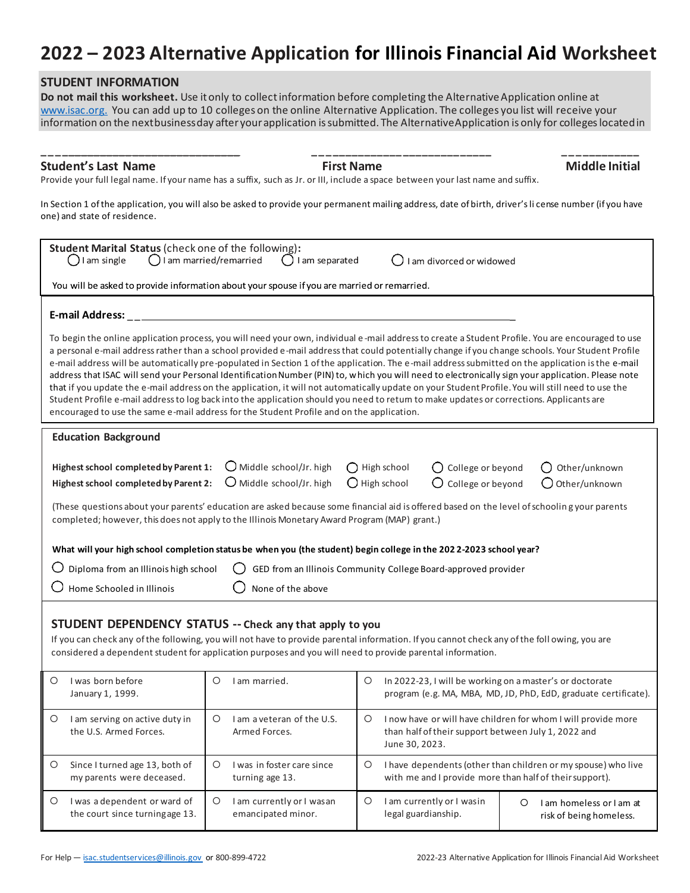# **2022 – 2023 Alternative Application for Illinois Financial Aid Worksheet**

# **STUDENT INFORMATION**

**Do not mail this worksheet.** Use it only to collect information before completing the Alternative Application online at [www.isac.org.](http://www.isac.org/) You can add up to 10 colleges on the online Alternative Application. The colleges you list will receive your information on the nextbusiness day after your application is submitted. The AlternativeApplication is only for colleges located in

# **Student's Last Name First Name Middle Initial**

**\_\_\_\_\_\_\_\_\_\_\_\_\_\_\_\_\_\_\_\_\_\_\_\_\_\_\_\_\_\_\_ \_ \_ \_ \_\_\_\_\_\_\_\_\_\_\_ \_\_\_\_\_\_\_\_\_\_\_\_\_\_ \_ \_ \_ \_\_\_\_\_\_\_\_\_**

Provide your full legal name. If your name has a suffix, such as Jr. or III, include a space between your last name and suffix.

In Section 1 of the application, you will also be asked to provide your permanent mailing address, date of birth, driver's li cense number (if you have one) and state of residence.

| Student Marital Status (check one of the following):<br>$\bigcirc$ I am single<br>$\bigcirc$ I am married/remarried<br>I am separated<br>I am divorced or widowed<br>You will be asked to provide information about your spouse if you are married or remarried.<br><b>E-mail Address:</b><br>To begin the online application process, you will need your own, individual e-mail address to create a Student Profile. You are encouraged to use<br>a personal e-mail address rather than a school provided e-mail address that could potentially change if you change schools. Your Student Profile<br>e-mail address will be automatically pre-populated in Section 1 of the application. The e-mail address submitted on the application is the e-mail |  |  |
|----------------------------------------------------------------------------------------------------------------------------------------------------------------------------------------------------------------------------------------------------------------------------------------------------------------------------------------------------------------------------------------------------------------------------------------------------------------------------------------------------------------------------------------------------------------------------------------------------------------------------------------------------------------------------------------------------------------------------------------------------------|--|--|
|                                                                                                                                                                                                                                                                                                                                                                                                                                                                                                                                                                                                                                                                                                                                                          |  |  |
|                                                                                                                                                                                                                                                                                                                                                                                                                                                                                                                                                                                                                                                                                                                                                          |  |  |
|                                                                                                                                                                                                                                                                                                                                                                                                                                                                                                                                                                                                                                                                                                                                                          |  |  |
| address that ISAC will send your Personal Identification Number (PIN) to, which you will need to electronically sign your application. Please note<br>that if you update the e-mail address on the application, it will not automatically update on your Student Profile. You will still need to use the<br>Student Profile e-mail address to log back into the application should you need to retum to make updates or corrections. Applicants are<br>encouraged to use the same e-mail address for the Student Profile and on the application.                                                                                                                                                                                                         |  |  |
| <b>Education Background</b>                                                                                                                                                                                                                                                                                                                                                                                                                                                                                                                                                                                                                                                                                                                              |  |  |
| $O$ Middle school/Jr. high<br>Highest school completed by Parent 1:<br>$\bigcirc$ High school<br>O College or beyond<br>Other/unknown<br>$\bigcirc$ Middle school/Jr. high<br>$\bigcirc$ High school<br>College or beyond<br>Highest school completed by Parent 2:<br>$\bigcirc$ Other/unknown<br>(These questions about your parents' education are asked because some financial aid is offered based on the level of schooling your parents                                                                                                                                                                                                                                                                                                            |  |  |
| completed; however, this does not apply to the Illinois Monetary Award Program (MAP) grant.)                                                                                                                                                                                                                                                                                                                                                                                                                                                                                                                                                                                                                                                             |  |  |
| What will your high school completion status be when you (the student) begin college in the 2022-2023 school year?                                                                                                                                                                                                                                                                                                                                                                                                                                                                                                                                                                                                                                       |  |  |
| Diploma from an Illinois high school<br>GED from an Illinois Community College Board-approved provider                                                                                                                                                                                                                                                                                                                                                                                                                                                                                                                                                                                                                                                   |  |  |
| Home Schooled in Illinois<br>None of the above                                                                                                                                                                                                                                                                                                                                                                                                                                                                                                                                                                                                                                                                                                           |  |  |
| STUDENT DEPENDENCY STATUS -- Check any that apply to you<br>If you can check any of the following, you will not have to provide parental information. If you cannot check any of the following, you are<br>considered a dependent student for application purposes and you will need to provide parental information.                                                                                                                                                                                                                                                                                                                                                                                                                                    |  |  |
| O<br>I was born before<br>О<br>I am married.<br>O<br>In 2022-23, I will be working on a master's or doctorate<br>program (e.g. MA, MBA, MD, JD, PhD, EdD, graduate certificate).<br>January 1, 1999.                                                                                                                                                                                                                                                                                                                                                                                                                                                                                                                                                     |  |  |
| I am a veteran of the U.S.<br>I now have or will have children for whom I will provide more<br>O<br>I am serving on active duty in<br>O<br>$\circ$<br>the U.S. Armed Forces.<br>Armed Forces.<br>than half of their support between July 1, 2022 and<br>June 30, 2023.                                                                                                                                                                                                                                                                                                                                                                                                                                                                                   |  |  |
| Since I turned age 13, both of<br>$\circ$<br>I was in foster care since<br>O<br>I have dependents (other than children or my spouse) who live<br>$\circ$<br>my parents were deceased.<br>with me and I provide more than half of their support).<br>turning age 13.                                                                                                                                                                                                                                                                                                                                                                                                                                                                                      |  |  |
| I was a dependent or ward of<br>I am currently or I wasin<br>$\circ$<br>I am currently or I was an<br>$\circ$<br>O<br>O<br>I am homeless or I am at<br>the court since turningage 13.<br>emancipated minor.<br>legal guardianship.<br>risk of being homeless.                                                                                                                                                                                                                                                                                                                                                                                                                                                                                            |  |  |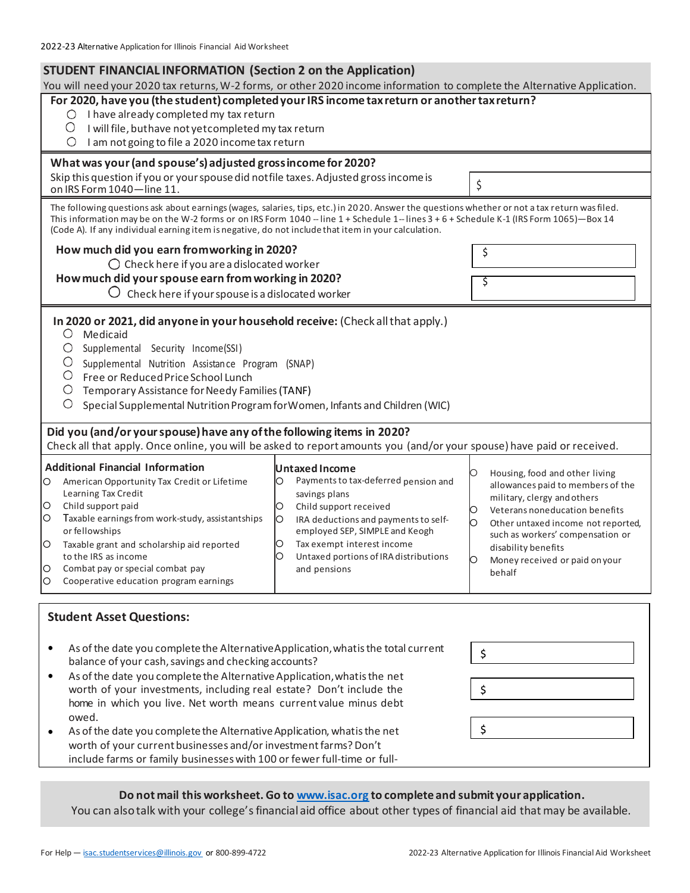# **STUDENT FINANCIAL INFORMATION (Section 2 on the Application)**

You will need your 2020 tax returns, W-2 forms, or other 2020 income information to complete the Alternative Application.

| For 2020, have you (the student) completed your IRS income tax return or another tax return?<br>I have already completed my tax return<br>Ő<br>O<br>I will file, buthave not yet completed my tax return<br>I am not going to file a 2020 income tax return<br>O                                                                                                                                                                                                                                                                                                                                                                                                                                                                                |                                                                                                                                                                                                                                                  |  |
|-------------------------------------------------------------------------------------------------------------------------------------------------------------------------------------------------------------------------------------------------------------------------------------------------------------------------------------------------------------------------------------------------------------------------------------------------------------------------------------------------------------------------------------------------------------------------------------------------------------------------------------------------------------------------------------------------------------------------------------------------|--------------------------------------------------------------------------------------------------------------------------------------------------------------------------------------------------------------------------------------------------|--|
|                                                                                                                                                                                                                                                                                                                                                                                                                                                                                                                                                                                                                                                                                                                                                 |                                                                                                                                                                                                                                                  |  |
|                                                                                                                                                                                                                                                                                                                                                                                                                                                                                                                                                                                                                                                                                                                                                 |                                                                                                                                                                                                                                                  |  |
|                                                                                                                                                                                                                                                                                                                                                                                                                                                                                                                                                                                                                                                                                                                                                 |                                                                                                                                                                                                                                                  |  |
|                                                                                                                                                                                                                                                                                                                                                                                                                                                                                                                                                                                                                                                                                                                                                 |                                                                                                                                                                                                                                                  |  |
| What was your (and spouse's) adjusted gross income for 2020?                                                                                                                                                                                                                                                                                                                                                                                                                                                                                                                                                                                                                                                                                    |                                                                                                                                                                                                                                                  |  |
| Skip this question if you or your spouse did not file taxes. Adjusted gross income is<br>\$                                                                                                                                                                                                                                                                                                                                                                                                                                                                                                                                                                                                                                                     |                                                                                                                                                                                                                                                  |  |
| on IRS Form 1040-line 11.                                                                                                                                                                                                                                                                                                                                                                                                                                                                                                                                                                                                                                                                                                                       |                                                                                                                                                                                                                                                  |  |
| The following questions ask about earnings (wages, salaries, tips, etc.) in 2020. Answer the questions whether or not a tax return was filed.<br>This information may be on the W-2 forms or on IRS Form 1040 -- line 1 + Schedule 1-- lines 3 + 6 + Schedule K-1 (IRS Form 1065)-Box 14<br>(Code A). If any individual earning item is negative, do not include that item in your calculation.                                                                                                                                                                                                                                                                                                                                                 |                                                                                                                                                                                                                                                  |  |
| How much did you earn fromworking in 2020?<br>\$                                                                                                                                                                                                                                                                                                                                                                                                                                                                                                                                                                                                                                                                                                |                                                                                                                                                                                                                                                  |  |
| $\bigcirc$ Check here if you are a dislocated worker                                                                                                                                                                                                                                                                                                                                                                                                                                                                                                                                                                                                                                                                                            |                                                                                                                                                                                                                                                  |  |
| How much did your spouse earn from working in 2020?<br>\$                                                                                                                                                                                                                                                                                                                                                                                                                                                                                                                                                                                                                                                                                       |                                                                                                                                                                                                                                                  |  |
| $\bigcirc$ Check here if your spouse is a dislocated worker                                                                                                                                                                                                                                                                                                                                                                                                                                                                                                                                                                                                                                                                                     |                                                                                                                                                                                                                                                  |  |
| In 2020 or 2021, did anyone in your household receive: (Check all that apply.)<br>$\circ$<br>Medicaid<br>O<br>Supplemental Security Income(SSI)<br>O<br>Supplemental Nutrition Assistance Program (SNAP)<br>O<br>Free or Reduced Price School Lunch<br>$\circ$<br>Temporary Assistance for Needy Families (TANF)<br>O<br>Special Supplemental Nutrition Program for Women, Infants and Children (WIC)<br>Did you (and/or your spouse) have any of the following items in 2020?<br>Check all that apply. Once online, you will be asked to report amounts you (and/or your spouse) have paid or received.                                                                                                                                        |                                                                                                                                                                                                                                                  |  |
|                                                                                                                                                                                                                                                                                                                                                                                                                                                                                                                                                                                                                                                                                                                                                 |                                                                                                                                                                                                                                                  |  |
| <b>Additional Financial Information</b><br>Untaxed Income<br>O<br>Payments to tax-deferred pension and<br>American Opportunity Tax Credit or Lifetime<br>O<br>О<br>Learning Tax Credit<br>savings plans<br>O<br>Child support paid<br>Child support received<br>О<br>Ю<br>Taxable earnings from work-study, assistantships<br>O<br>IRA deductions and payments to self-<br>Ю<br>О<br>or fellowships<br>employed SEP, SIMPLE and Keogh<br>Tax exempt interest income<br>O<br>Taxable grant and scholarship aid reported<br>O<br>disability benefits<br>to the IRS as income<br>Untaxed portions of IRA distributions<br>O<br>Ю<br>Combat pay or special combat pay<br>O<br>and pensions<br>behalf<br>Cooperative education program earnings<br>O | Housing, food and other living<br>allowances paid to members of the<br>military, clergy and others<br>Veterans noneducation benefits<br>Other untaxed income not reported,<br>such as workers' compensation or<br>Money received or paid on your |  |
| <b>Student Asset Questions:</b><br>As of the date you complete the Alternative Application, what is the total current<br>\$<br>balance of your cash, savings and checking accounts?<br>As of the date you complete the Alternative Application, what is the net<br>$\bullet$<br>worth of your investments, including real estate? Don't include the<br>\$<br>home in which you live. Net worth means current value minus debt<br>owed.<br>\$<br>As of the date you complete the Alternative Application, what is the net                                                                                                                                                                                                                        |                                                                                                                                                                                                                                                  |  |
| worth of your current businesses and/or investment farms? Don't<br>include farms or family businesses with 100 or fewer full-time or full-                                                                                                                                                                                                                                                                                                                                                                                                                                                                                                                                                                                                      |                                                                                                                                                                                                                                                  |  |

# **Do not mail this worksheet. Go t[o www.isac.org](http://www.isac.org/) to complete and submit your application.**

You can also talk with your college's financial aid office about other types of financial aid that may be available.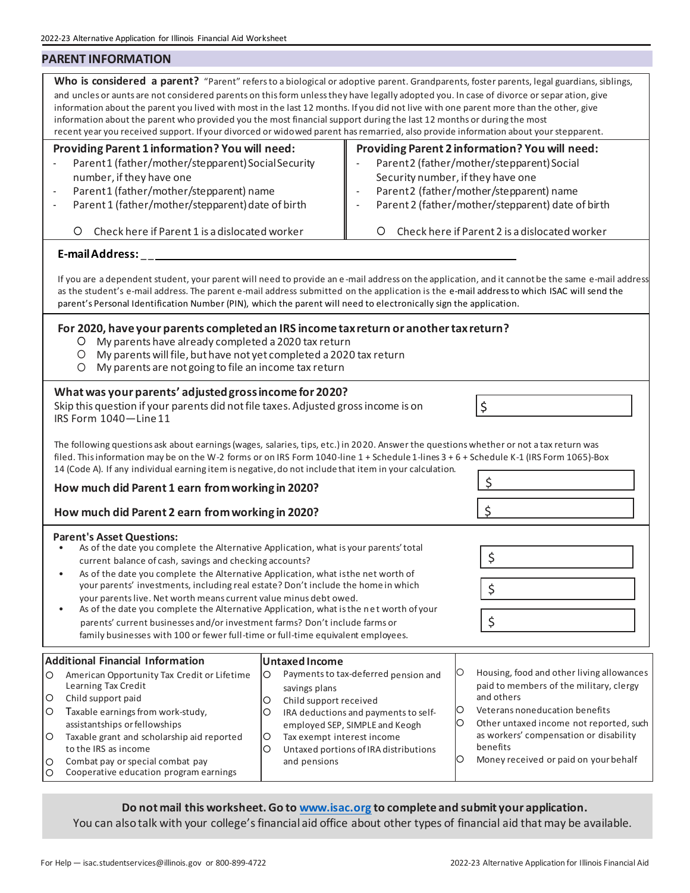# 2022-23 Alternative Application for Illinois Financial Aid Worksheet **PARENT INFORMATION** Who is considered a parent? "Parent" refers to a biological or adoptive parent. Grandparents, foster parents, legal guardians, siblings, and uncles or aunts are not considered parents on this form unless they have legally adopted you. In case of divorce or separ ation, give information about the parent you lived with most in the last 12 months. If you did not live with one parent more than the other, give information about the parent who provided you the most financial support during the last 12 months or during the most recent year you received support. If your divorced or widowed parent has remarried, also provide information about your stepparent. **Providing Parent 1 information? You will need: Providing Parent 2 information? You will need:** Parent1 (father/mother/stepparent) Social Security Parent2 (father/mother/stepparent) Social number, if they have one Security number, if they have one Parent1 (father/mother/stepparent) name Parent2 (father/mother/stepparent) name Parent 1 (father/mother/stepparent) date of birth Parent 2 (father/mother/stepparent) date of birth Check here if Parent 1 is a dislocated worker Check here if Parent 2 is a dislocated worker **E-mail Address:** \_ \_ If you are a dependent student, your parent will need to provide an e -mail address on the application, and it cannotbe the same e-mail address as the student's e-mail address. The parent e-mail address submitted on the application is the e-mail address to which ISAC will send the parent's Personal Identification Number (PIN), which the parent will need to electronically sign the application. **For 2020, have your parents completed an IRS income tax return or another tax return?** My parents have already completed a 2020 tax return My parents will file, buthave not yet completed a 2020 tax return My parents are not going to file an income tax return **What was your parents' adjusted gross income for 2020?** Skip this question if your parents did not file taxes. Adjusted gross income is on  $\zeta$ IRS Form 1040—Line11 The following questions ask about earnings (wages, salaries, tips, etc.) in 2020. Answer the questions whether or not a tax return was filed. This information may be on the W-2 forms or on IRS Form 1040-line 1 + Schedule 1-lines 3 + 6 + Schedule K-1 (IRS Form 1065)-Box 14 (Code A). If any individual earning item is negative, do not include that item in your calculation. \$ **How much did Parent 1 earn from working in 2020? How much did Parent 2 earn from working in 2020? S Parent's Asset Questions:** • As of the date you complete the Alternative Application, what is your parents'total  $\begin{array}{c} \text{current balance of cash, savings and checking accounts?} \end{array}$ • As of the date you complete the Alternative Application, what isthe net worth of your parents' investments, including real estate? Don't include the home in which  $\zeta$ your parents live. Net worth means current value minus debt owed. As of the date you complete the Alternative Application, what is the net worth of your parents' current businesses and/or investment farms? Don't include farms or  $\vert \xi \rangle$ family businesses with 100 or fewer full-time or full-time equivalent employees.

#### **Additional Financial Information** American Opportunity Tax Credit or Lifetime Learning Tax Credit O Child support paid O Taxable earnings from work-study, assistantships orfellowships Taxable grant and scholarship aid reported to the IRS as income Combat pay or special combat pay Cooperative education program earnings **Untaxed Income** Paymentsto tax-deferred pension and savings plans O Child support received IRA deductions and paymentsto selfemployed SEP, SIMPLE and Keogh Tax exempt interest income O Untaxed portions of IRA distributions and pensions O Housing, food and other living allowances paid to members of the military, clergy and others Veterans noneducation benefits  $\circ$  Other untaxed income not reported, such as workers' compensation or disability benefits O Money received or paid on your behalf

**Do not mail this worksheet. Go t[o www.isac.org](http://www.isac.org/) to complete and submit your application.**

You can also talk with your college's financial aid office about other types of financial aid that may be available.